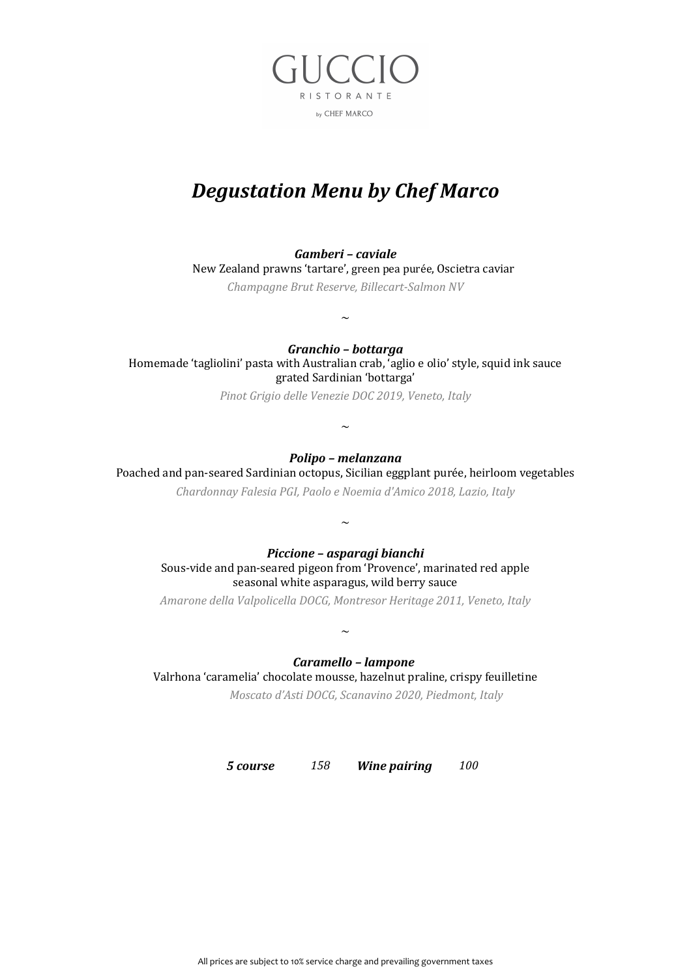

# *Degustation Menu by Chef Marco*

#### *Gamberi – caviale*

New Zealand prawns 'tartare', green pea purée, Oscietra caviar

*Champagne Brut Reserve, Billecart-Salmon NV*

 $\sim$ 

*Granchio – bottarga* 

Homemade 'tagliolini' pasta with Australian crab, 'aglio e olio' style, squid ink sauce grated Sardinian 'bottarga'

*Pinot Grigio delle Venezie DOC 2019, Veneto, Italy*

#### *Polipo – melanzana*

 $\sim$ 

Poached and pan-seared Sardinian octopus, Sicilian eggplant purée, heirloom vegetables *Chardonnay Falesia PGI, Paolo e Noemia d'Amico 2018, Lazio, Italy*

 $\sim$ 

#### *Piccione – asparagi bianchi*

Sous-vide and pan-seared pigeon from 'Provence', marinated red apple seasonal white asparagus, wild berry sauce

*Amarone della Valpolicella DOCG, Montresor Heritage 2011, Veneto, Italy*

 $\sim$ 

#### *Caramello – lampone*

Valrhona 'caramelia' chocolate mousse, hazelnut praline, crispy feuilletine

*Moscato d'Asti DOCG, Scanavino 2020, Piedmont, Italy*

*5 course 158**Wine pairing* **<b>***100*